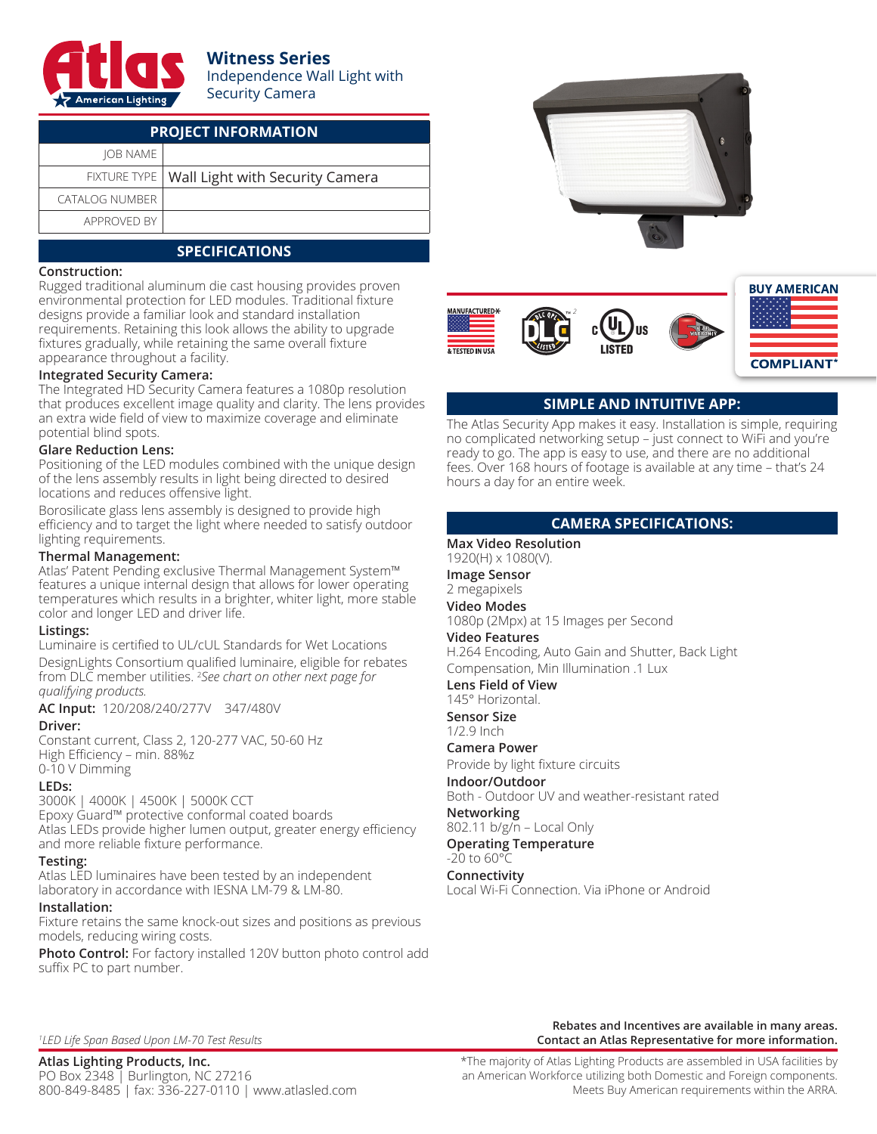

# **Witness Series**

Independence Wall Light with Security Camera

| <b>PROJECT INFORMATION</b> |                                                |  |  |  |
|----------------------------|------------------------------------------------|--|--|--|
| <b>IOB NAME</b>            |                                                |  |  |  |
|                            | FIXTURE TYPE   Wall Light with Security Camera |  |  |  |
| <b>CATALOG NUMBER</b>      |                                                |  |  |  |
| APPROVED BY                |                                                |  |  |  |

# **SPECIFICATIONS**

#### **Construction:**

Rugged traditional aluminum die cast housing provides proven environmental protection for LED modules. Traditional fixture designs provide a familiar look and standard installation requirements. Retaining this look allows the ability to upgrade fixtures gradually, while retaining the same overall fixture appearance throughout a facility.

#### **Integrated Security Camera:**

The Integrated HD Security Camera features a 1080p resolution that produces excellent image quality and clarity. The lens provides an extra wide field of view to maximize coverage and eliminate potential blind spots.

#### **Glare Reduction Lens:**

Positioning of the LED modules combined with the unique design of the lens assembly results in light being directed to desired locations and reduces offensive light.

Borosilicate glass lens assembly is designed to provide high efficiency and to target the light where needed to satisfy outdoor lighting requirements.

#### **Thermal Management:**

Atlas' Patent Pending exclusive Thermal Management System™ features a unique internal design that allows for lower operating temperatures which results in a brighter, whiter light, more stable color and longer LED and driver life.

#### **Listings:**

Luminaire is certified to UL/cUL Standards for Wet Locations DesignLights Consortium qualified luminaire, eligible for rebates from DLC member utilities. 2 *See chart on other next page for qualifying products.*

**AC Input:** 120/208/240/277V 347/480V

### **Driver:**

Constant current, Class 2, 120-277 VAC, 50-60 Hz High Efficiency – min. 88%z 0-10 V Dimming

#### **LEDs:**

3000K | 4000K | 4500K | 5000K CCT Epoxy Guard™ protective conformal coated boards Atlas LEDs provide higher lumen output, greater energy efficiency and more reliable fixture performance.

#### **Testing:**

Atlas LED luminaires have been tested by an independent laboratory in accordance with IESNA LM-79 & LM-80.

#### **Installation:**

Fixture retains the same knock-out sizes and positions as previous models, reducing wiring costs.

**Photo Control:** For factory installed 120V button photo control add suffix PC to part number.





## **SIMPLE AND INTUITIVE APP:**

The Atlas Security App makes it easy. Installation is simple, requiring no complicated networking setup – just connect to WiFi and you're ready to go. The app is easy to use, and there are no additional fees. Over 168 hours of footage is available at any time – that's 24 hours a day for an entire week.

## **CAMERA SPECIFICATIONS:**

**Max Video Resolution** 1920(H) x 1080(V). **Image Sensor**

2 megapixels

**Video Modes**

1080p (2Mpx) at 15 Images per Second

**Video Features**

H.264 Encoding, Auto Gain and Shutter, Back Light Compensation, Min Illumination .1 Lux

**Lens Field of View** 145° Horizontal.

**Sensor Size** 1/2.9 Inch

**Camera Power**

Provide by light fixture circuits

**Indoor/Outdoor**

Both - Outdoor UV and weather-resistant rated

**Networking**

802.11 b/g/n – Local Only **Operating Temperature**

 $-20$  to  $60^{\circ}$ C

**Connectivity** Local Wi-Fi Connection. Via iPhone or Android

*1 LED Life Span Based Upon LM-70 Test Results*

**Contact an Atlas Representative for more information.**

**Rebates and Incentives are available in many areas.**

**Atlas Lighting Products, Inc.** PO Box 2348 | Burlington, NC 27216 800-849-8485 | fax: 336-227-0110 | www.atlasled.com \*The majority of Atlas Lighting Products are assembled in USA facilities by an American Workforce utilizing both Domestic and Foreign components. Meets Buy American requirements within the ARRA.